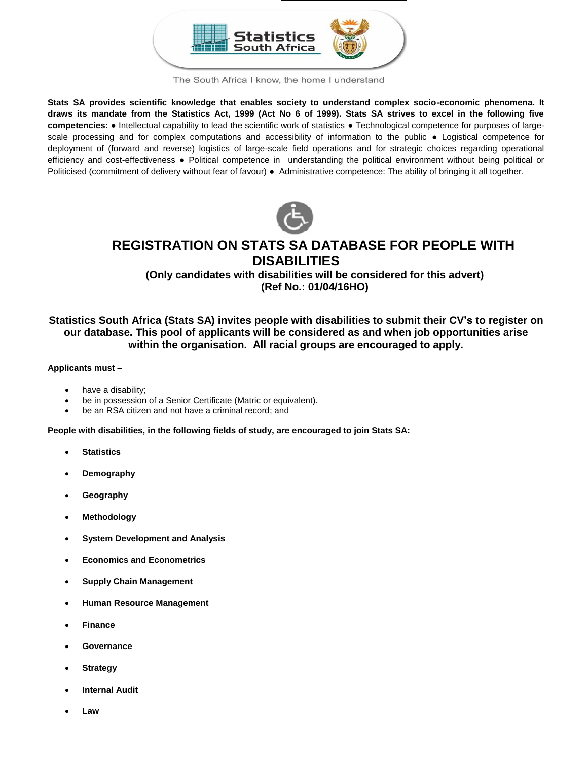

The South Africa I know, the home I understand

**Stats SA provides scientific knowledge that enables society to understand complex socio-economic phenomena. It draws its mandate from the Statistics Act, 1999 (Act No 6 of 1999). Stats SA strives to excel in the following five competencies:** ● Intellectual capability to lead the scientific work of statistics ● Technological competence for purposes of largescale processing and for complex computations and accessibility of information to the public • Logistical competence for deployment of (forward and reverse) logistics of large-scale field operations and for strategic choices regarding operational efficiency and cost-effectiveness ● Political competence in understanding the political environment without being political or Politicised (commitment of delivery without fear of favour) ● Administrative competence: The ability of bringing it all together.



# **REGISTRATION ON STATS SA DATABASE FOR PEOPLE WITH DISABILITIES**

**(Only candidates with disabilities will be considered for this advert) (Ref No.: 01/04/16HO)**

## **Statistics South Africa (Stats SA) invites people with disabilities to submit their CV's to register on our database. This pool of applicants will be considered as and when job opportunities arise within the organisation. All racial groups are encouraged to apply.**

### **Applicants must –**

- have a disability;
- be in possession of a Senior Certificate (Matric or equivalent).
- be an RSA citizen and not have a criminal record; and

**People with disabilities, in the following fields of study, are encouraged to join Stats SA:**

- **Statistics**
- **Demography**
- **Geography**
- **Methodology**
- **System Development and Analysis**
- **Economics and Econometrics**
- **Supply Chain Management**
- **Human Resource Management**
- **Finance**
- **Governance**
- **Strategy**
- **Internal Audit**
- **Law**